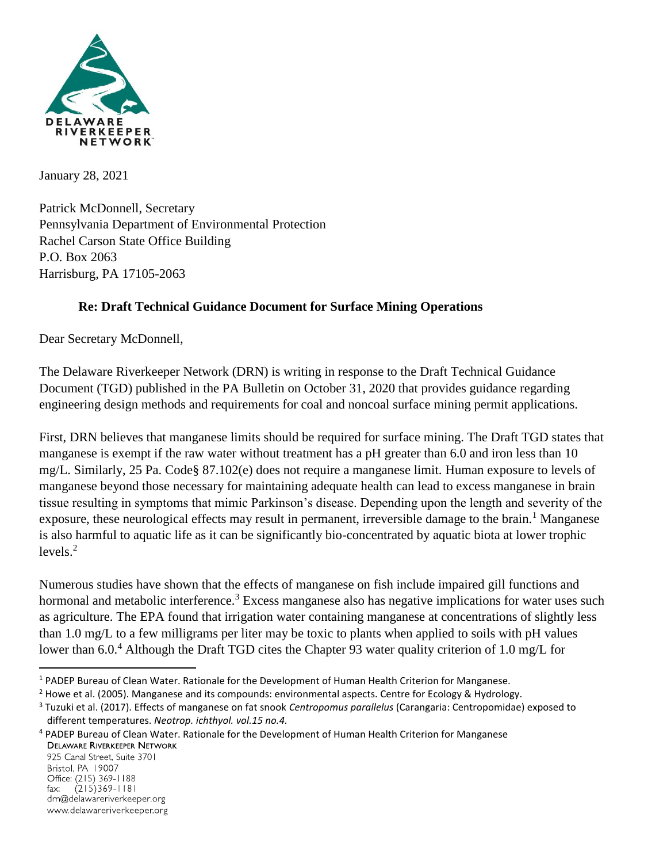

January 28, 2021

Patrick McDonnell, Secretary Pennsylvania Department of Environmental Protection Rachel Carson State Office Building P.O. Box 2063 Harrisburg, PA 17105-2063

## **Re: Draft Technical Guidance Document for Surface Mining Operations**

Dear Secretary McDonnell,

 $\overline{a}$ 

www.delawareriverkeeper.org

The Delaware Riverkeeper Network (DRN) is writing in response to the Draft Technical Guidance Document (TGD) published in the PA Bulletin on October 31, 2020 that provides guidance regarding engineering design methods and requirements for coal and noncoal surface mining permit applications.

First, DRN believes that manganese limits should be required for surface mining. The Draft TGD states that manganese is exempt if the raw water without treatment has a pH greater than 6.0 and iron less than 10 mg/L. Similarly, 25 Pa. Code§ 87.102(e) does not require a manganese limit. Human exposure to levels of manganese beyond those necessary for maintaining adequate health can lead to excess manganese in brain tissue resulting in symptoms that mimic Parkinson's disease. Depending upon the length and severity of the exposure, these neurological effects may result in permanent, irreversible damage to the brain.<sup>1</sup> Manganese is also harmful to aquatic life as it can be significantly bio-concentrated by aquatic biota at lower trophic  $levels.<sup>2</sup>$ 

Numerous studies have shown that the effects of manganese on fish include impaired gill functions and hormonal and metabolic interference.<sup>3</sup> Excess manganese also has negative implications for water uses such as agriculture. The EPA found that irrigation water containing manganese at concentrations of slightly less than 1.0 mg/L to a few milligrams per liter may be toxic to plants when applied to soils with pH values lower than  $6.0<sup>4</sup>$  Although the Draft TGD cites the Chapter 93 water quality criterion of 1.0 mg/L for

<sup>4</sup> PADEP Bureau of Clean Water. Rationale for the Development of Human Health Criterion for Manganese925 Canal Street, Suite 3701 Bristol, PA 19007 Office: (215) 369-1188 fax:  $(215)369 - 1181$ drn@delawareriverkeeper.org

<sup>&</sup>lt;sup>1</sup> PADEP Bureau of Clean Water. Rationale for the Development of Human Health Criterion for Manganese.

<sup>&</sup>lt;sup>2</sup> Howe et al. (2005). Manganese and its compounds: environmental aspects. Centre for Ecology & Hydrology.

<sup>3</sup> Tuzuki et al. (2017). Effects of manganese on fat snook *Centropomus parallelus* (Carangaria: Centropomidae) exposed to different temperatures. *Neotrop. ichthyol. vol.15 no.4.*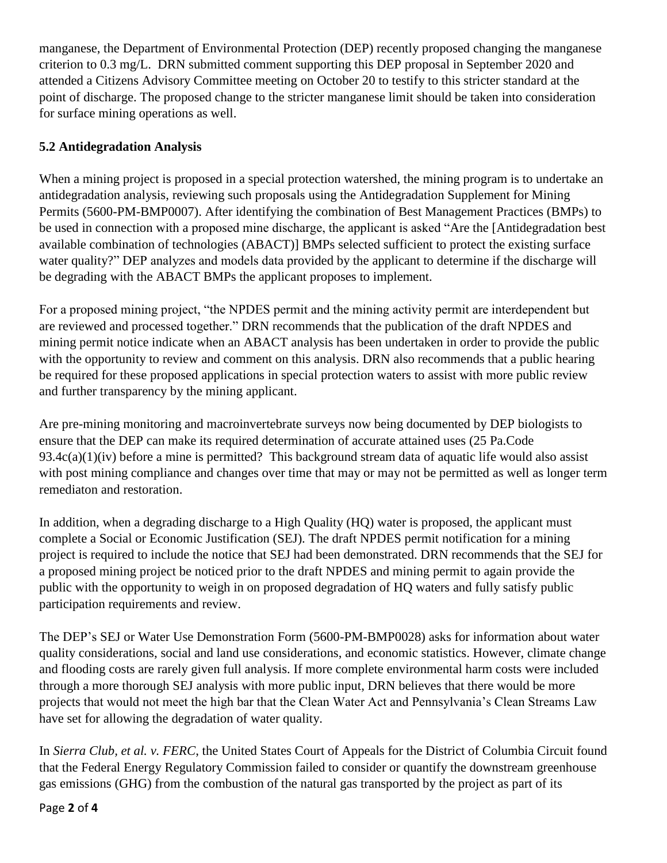manganese, the Department of Environmental Protection (DEP) recently proposed changing the manganese criterion to 0.3 mg/L. DRN submitted comment supporting this DEP proposal in September 2020 and attended a Citizens Advisory Committee meeting on October 20 to testify to this stricter standard at the point of discharge. The proposed change to the stricter manganese limit should be taken into consideration for surface mining operations as well.

## **5.2 Antidegradation Analysis**

When a mining project is proposed in a special protection watershed, the mining program is to undertake an antidegradation analysis, reviewing such proposals using the Antidegradation Supplement for Mining Permits (5600-PM-BMP0007). After identifying the combination of Best Management Practices (BMPs) to be used in connection with a proposed mine discharge, the applicant is asked "Are the [Antidegradation best available combination of technologies (ABACT)] BMPs selected sufficient to protect the existing surface water quality?" DEP analyzes and models data provided by the applicant to determine if the discharge will be degrading with the ABACT BMPs the applicant proposes to implement.

For a proposed mining project, "the NPDES permit and the mining activity permit are interdependent but are reviewed and processed together." DRN recommends that the publication of the draft NPDES and mining permit notice indicate when an ABACT analysis has been undertaken in order to provide the public with the opportunity to review and comment on this analysis. DRN also recommends that a public hearing be required for these proposed applications in special protection waters to assist with more public review and further transparency by the mining applicant.

Are pre-mining monitoring and macroinvertebrate surveys now being documented by DEP biologists to ensure that the DEP can make its required determination of accurate attained uses (25 Pa.Code 93.4c(a)(1)(iv) before a mine is permitted? This background stream data of aquatic life would also assist with post mining compliance and changes over time that may or may not be permitted as well as longer term remediaton and restoration.

In addition, when a degrading discharge to a High Quality (HQ) water is proposed, the applicant must complete a Social or Economic Justification (SEJ). The draft NPDES permit notification for a mining project is required to include the notice that SEJ had been demonstrated. DRN recommends that the SEJ for a proposed mining project be noticed prior to the draft NPDES and mining permit to again provide the public with the opportunity to weigh in on proposed degradation of HQ waters and fully satisfy public participation requirements and review.

The DEP's SEJ or Water Use Demonstration Form (5600-PM-BMP0028) asks for information about water quality considerations, social and land use considerations, and economic statistics. However, climate change and flooding costs are rarely given full analysis. If more complete environmental harm costs were included through a more thorough SEJ analysis with more public input, DRN believes that there would be more projects that would not meet the high bar that the Clean Water Act and Pennsylvania's Clean Streams Law have set for allowing the degradation of water quality.

In *Sierra Club, et al. v. FERC*, the United States Court of Appeals for the District of Columbia Circuit found that the Federal Energy Regulatory Commission failed to consider or quantify the downstream greenhouse gas emissions (GHG) from the combustion of the natural gas transported by the project as part of its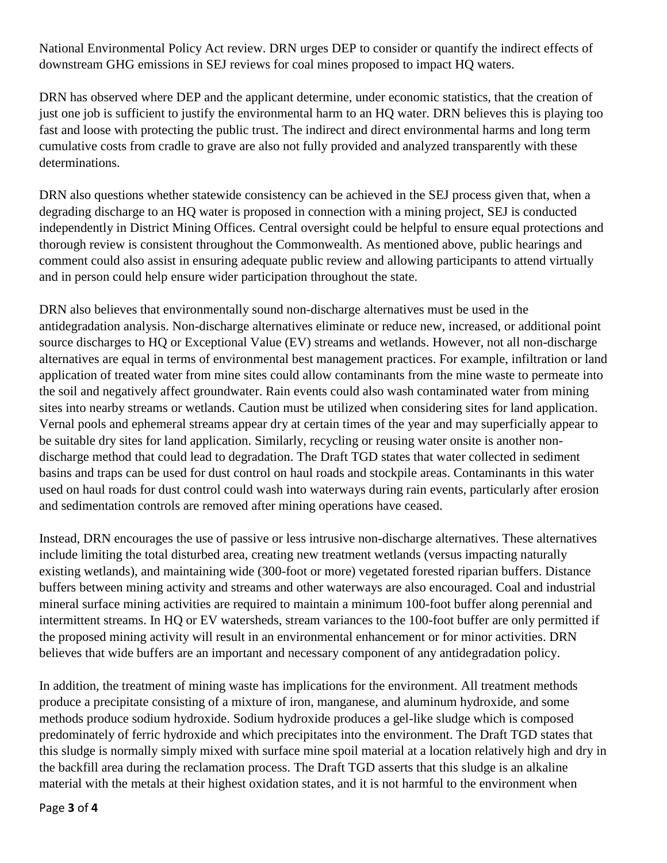National Environmental Policy Act review. DRN urges DEP to consider or quantify the indirect effects of downstream GHG emissions in SEJ reviews for coal mines proposed to impact HQ waters.

DRN has observed where DEP and the applicant determine, under economic statistics, that the creation of just one job is sufficient to justify the environmental harm to an HQ water. DRN believes this is playing too fast and loose with protecting the public trust. The indirect and direct environmental harms and long term cumulative costs from cradle to grave are also not fully provided and analyzed transparently with these determinations.

DRN also questions whether statewide consistency can be achieved in the SEJ process given that, when a degrading discharge to an HQ water is proposed in connection with a mining project, SEJ is conducted independently in District Mining Offices. Central oversight could be helpful to ensure equal protections and thorough review is consistent throughout the Commonwealth. As mentioned above, public hearings and comment could also assist in ensuring adequate public review and allowing participants to attend virtually and in person could help ensure wider participation throughout the state.

DRN also believes that environmentally sound non-discharge alternatives must be used in the antidegradation analysis. Non-discharge alternatives eliminate or reduce new, increased, or additional point source discharges to HQ or Exceptional Value (EV) streams and wetlands. However, not all non-discharge alternatives are equal in terms of environmental best management practices. For example, infiltration or land application of treated water from mine sites could allow contaminants from the mine waste to permeate into the soil and negatively affect groundwater. Rain events could also wash contaminated water from mining sites into nearby streams or wetlands. Caution must be utilized when considering sites for land application. Vernal pools and ephemeral streams appear dry at certain times of the year and may superficially appear to be suitable dry sites for land application. Similarly, recycling or reusing water onsite is another nondischarge method that could lead to degradation. The Draft TGD states that water collected in sediment basins and traps can be used for dust control on haul roads and stockpile areas. Contaminants in this water used on haul roads for dust control could wash into waterways during rain events, particularly after erosion and sedimentation controls are removed after mining operations have ceased.

Instead, DRN encourages the use of passive or less intrusive non-discharge alternatives. These alternatives include limiting the total disturbed area, creating new treatment wetlands (versus impacting naturally existing wetlands), and maintaining wide (300-foot or more) vegetated forested riparian buffers. Distance buffers between mining activity and streams and other waterways are also encouraged. Coal and industrial mineral surface mining activities are required to maintain a minimum 100-foot buffer along perennial and intermittent streams. In HQ or EV watersheds, stream variances to the 100-foot buffer are only permitted if the proposed mining activity will result in an environmental enhancement or for minor activities. DRN believes that wide buffers are an important and necessary component of any antidegradation policy.

In addition, the treatment of mining waste has implications for the environment. All treatment methods produce a precipitate consisting of a mixture of iron, manganese, and aluminum hydroxide, and some methods produce sodium hydroxide. Sodium hydroxide produces a gel-like sludge which is composed predominately of ferric hydroxide and which precipitates into the environment. The Draft TGD states that this sludge is normally simply mixed with surface mine spoil material at a location relatively high and dry in the backfill area during the reclamation process. The Draft TGD asserts that this sludge is an alkaline material with the metals at their highest oxidation states, and it is not harmful to the environment when